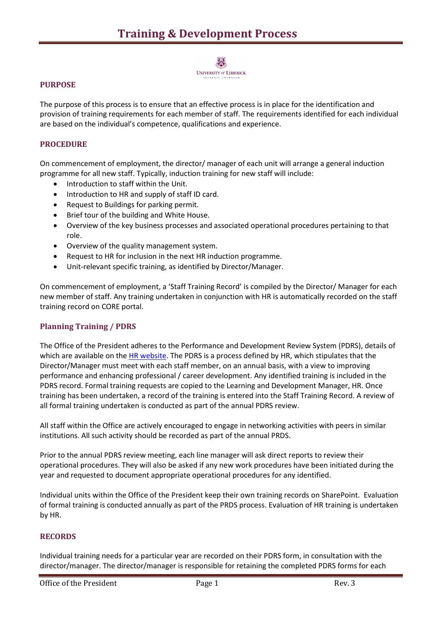# お

**UNIVERSITY of LIMERICK** 

## **PURPOSE**

The purpose of this process is to ensure that an effective process is in place for the identification and provision of training requirements for each member of staff. The requirements identified for each individual are based on the individual's competence, qualifications and experience.

### **PROCEDURE**

On commencement of employment, the director/ manager of each unit will arrange a general induction programme for all new staff. Typically, induction training for new staff will include:

- Introduction to staff within the Unit.
- Introduction to HR and supply of staff ID card.
- Request to Buildings for parking permit.
- Brief tour of the building and White House.
- Overview of the key business processes and associated operational procedures pertaining to that role.
- Overview of the quality management system.
- Request to HR for inclusion in the next HR induction programme.
- Unit-relevant specific training, as identified by Director/Manager.

On commencement of employment, a 'Staff Training Record' is compiled by the Director/ Manager for each new member of staff. Any training undertaken in conjunction with HR is automatically recorded on the staff training record on CORE portal.

#### **Planning Training / PDRS**

The Office of the President adheres to the Performance and Development Review System (PDRS), details of which are available on th[e HR website.](http://www.ul.ie/hr/sites/default/files/docs/Policies,%20Procedures%20and%20Forms/PDRS%20Documentation.doc) The PDRS is a process defined by HR, which stipulates that the Director/Manager must meet with each staff member, on an annual basis, with a view to improving performance and enhancing professional / career development. Any identified training is included in the PDRS record. Formal training requests are copied to the Learning and Development Manager, HR. Once training has been undertaken, a record of the training is entered into the Staff Training Record. A review of all formal training undertaken is conducted as part of the annual PDRS review.

All staff within the Office are actively encouraged to engage in networking activities with peers in similar institutions. All such activity should be recorded as part of the annual PRDS.

Prior to the annual PDRS review meeting, each line manager will ask direct reports to review their operational procedures. They will also be asked if any new work procedures have been initiated during the year and requested to document appropriate operational procedures for any identified.

Individual units within the Office of the President keep their own training records on SharePoint. Evaluation of formal training is conducted annually as part of the PRDS process. Evaluation of HR training is undertaken by HR.

#### **RECORDS**

Individual training needs for a particular year are recorded on their PDRS form, in consultation with the director/manager. The director/manager is responsible for retaining the completed PDRS forms for each